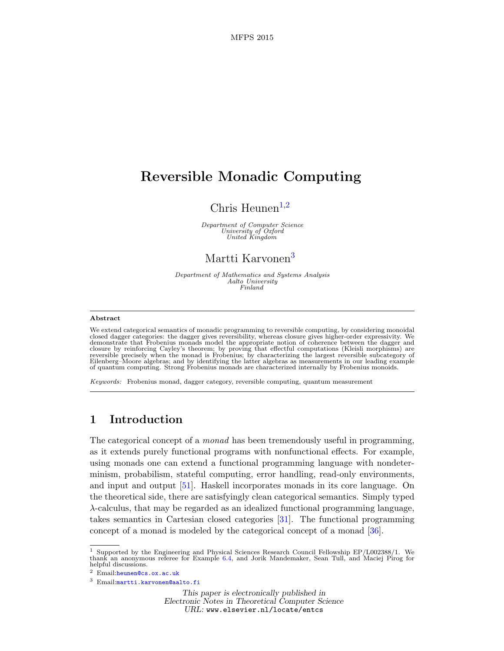# Reversible Monadic Computing

# Chris Heunen<sup>[1](#page-0-0),[2](#page-0-0)</sup>

Department of Computer Science University of Oxford United Kingdom

## Martti Karvonen<sup>[3](#page-0-0)</sup>

Department of Mathematics and Systems Analysis Aalto University Finland

#### <span id="page-0-0"></span>Abstract

We extend categorical semantics of monadic programming to reversible computing, by considering monoidal closed dagger categories: the dagger gives reversibility, whereas closure gives higher-order expressivity. We demonstrate that Frobenius monads model the appropriate notion of coherence between the dagger and closure by reinforcing Cayley's theorem; by proving that effectful computations (Kleisli morphisms) are reversible precisely when the monad is Frobenius; by characterizing the largest reversible subcategory of Eilenberg–Moore algebras; and by identifying the latter algebras as measurements in our leading example of quantum computing. Strong Frobenius monads are characterized internally by Frobenius monoids.

Keywords: Frobenius monad, dagger category, reversible computing, quantum measurement

## 1 Introduction

The categorical concept of a monad has been tremendously useful in programming, as it extends purely functional programs with nonfunctional effects. For example, using monads one can extend a functional programming language with nondeterminism, probabilism, stateful computing, error handling, read-only environments, and input and output [\[51\]](#page-16-0). Haskell incorporates monads in its core language. On the theoretical side, there are satisfyingly clean categorical semantics. Simply typed  $\lambda$ -calculus, that may be regarded as an idealized functional programming language, takes semantics in Cartesian closed categories [\[31\]](#page-16-1). The functional programming concept of a monad is modeled by the categorical concept of a monad [\[36\]](#page-16-2).

<sup>&</sup>lt;sup>1</sup> Supported by the Engineering and Physical Sciences Research Council Fellowship EP/L002388/1. We thank an anonymous referee for Example  $6.4$ , and Jorik Mandemaker, Sean Tull, and Maciej Pirog for helpful discussions.

<sup>2</sup> Email:[heunen@cs.ox.ac.uk](mailto:heunen@cs.ox.ac.uk)

<sup>3</sup> Email:[martti.karvonen@aalto.fi](mailto:martti.karvonen@aalto.fi)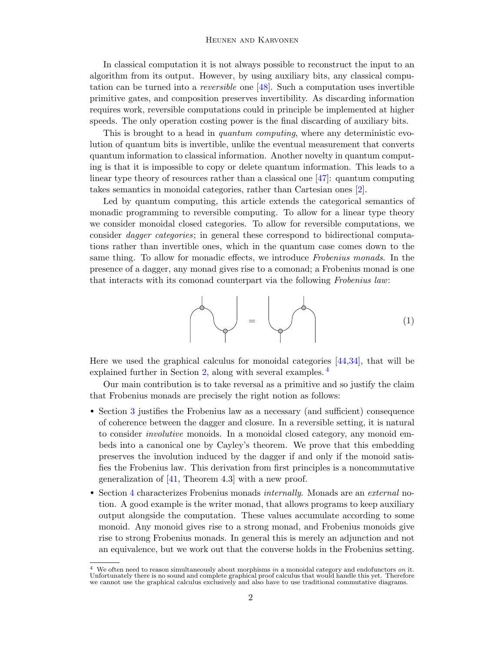In classical computation it is not always possible to reconstruct the input to an algorithm from its output. However, by using auxiliary bits, any classical computation can be turned into a reversible one [\[48\]](#page-16-3). Such a computation uses invertible primitive gates, and composition preserves invertibility. As discarding information requires work, reversible computations could in principle be implemented at higher speeds. The only operation costing power is the final discarding of auxiliary bits.

This is brought to a head in *quantum computing*, where any deterministic evolution of quantum bits is invertible, unlike the eventual measurement that converts quantum information to classical information. Another novelty in quantum computing is that it is impossible to copy or delete quantum information. This leads to a linear type theory of resources rather than a classical one [\[47\]](#page-16-4): quantum computing takes semantics in monoidal categories, rather than Cartesian ones [\[2\]](#page-15-0).

Led by quantum computing, this article extends the categorical semantics of monadic programming to reversible computing. To allow for a linear type theory we consider monoidal closed categories. To allow for reversible computations, we consider dagger categories; in general these correspond to bidirectional computations rather than invertible ones, which in the quantum case comes down to the same thing. To allow for monadic effects, we introduce Frobenius monads. In the presence of a dagger, any monad gives rise to a comonad; a Frobenius monad is one that interacts with its comonad counterpart via the following Frobenius law:

<span id="page-1-1"></span>
$$
\begin{pmatrix} 1 \\ 1 \end{pmatrix} = \begin{pmatrix} 1 \\ 1 \end{pmatrix}
$$

Here we used the graphical calculus for monoidal categories [\[44,](#page-16-5)[34\]](#page-16-6), that will be explained further in Section [2,](#page-2-0) along with several examples.<sup>[4](#page-1-0)</sup>

Our main contribution is to take reversal as a primitive and so justify the claim that Frobenius monads are precisely the right notion as follows:

- Section [3](#page-4-0) justifies the Frobenius law as a necessary (and sufficient) consequence of coherence between the dagger and closure. In a reversible setting, it is natural to consider *involutive* monoids. In a monoidal closed category, any monoid embeds into a canonical one by Cayley's theorem. We prove that this embedding preserves the involution induced by the dagger if and only if the monoid satisfies the Frobenius law. This derivation from first principles is a noncommutative generalization of  $[41,$  Theorem 4.3 with a new proof.
- Section [4](#page-7-0) characterizes Frobenius monads *internally*. Monads are an *external* notion. A good example is the writer monad, that allows programs to keep auxiliary output alongside the computation. These values accumulate according to some monoid. Any monoid gives rise to a strong monad, and Frobenius monoids give rise to strong Frobenius monads. In general this is merely an adjunction and not an equivalence, but we work out that the converse holds in the Frobenius setting.

<span id="page-1-0"></span>We often need to reason simultaneously about morphisms in a monoidal category and endofunctors on it. Unfortunately there is no sound and complete graphical proof calculus that would handle this yet. Therefore we cannot use the graphical calculus exclusively and also have to use traditional commutative diagrams.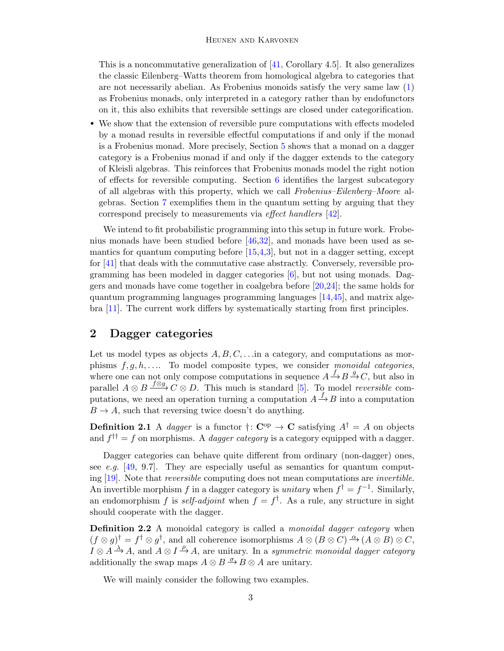This is a noncommutative generalization of  $[41,$  Corollary 4.5. It also generalizes the classic Eilenberg–Watts theorem from homological algebra to categories that are not necessarily abelian. As Frobenius monoids satisfy the very same law [\(1\)](#page-1-1) as Frobenius monads, only interpreted in a category rather than by endofunctors on it, this also exhibits that reversible settings are closed under categorification.

• We show that the extension of reversible pure computations with effects modeled by a monad results in reversible effectful computations if and only if the monad is a Frobenius monad. More precisely, Section [5](#page-10-0) shows that a monad on a dagger category is a Frobenius monad if and only if the dagger extends to the category of Kleisli algebras. This reinforces that Frobenius monads model the right notion of effects for reversible computing. Section  $6$  identifies the largest subcategory of all algebras with this property, which we call Frobenius–Eilenberg–Moore algebras. Section [7](#page-13-0) exemplifies them in the quantum setting by arguing that they correspond precisely to measurements via effect handlers [\[42\]](#page-16-8).

We intend to fit probabilistic programming into this setup in future work. Frobenius monads have been studied before  $[46,32]$  $[46,32]$ , and monads have been used as semantics for quantum computing before  $[15,4,3]$  $[15,4,3]$  $[15,4,3]$ , but not in a dagger setting, except for [\[41\]](#page-16-7) that deals with the commutative case abstractly. Conversely, reversible programming has been modeled in dagger categories [\[6\]](#page-15-4), but not using monads. Daggers and monads have come together in coalgebra before [\[20,](#page-15-5)[24\]](#page-15-6); the same holds for quantum programming languages programming languages [\[14,](#page-15-7)[45\]](#page-16-11), and matrix algebra [\[11\]](#page-15-8). The current work differs by systematically starting from first principles.

## <span id="page-2-0"></span>2 Dagger categories

Let us model types as objects  $A, B, C, \ldots$  in a category, and computations as morphisms  $f, g, h, \ldots$  To model composite types, we consider monoidal categories, where one can not only compose computations in sequence  $A \xrightarrow{f} B \xrightarrow{g} C$ , but also in parallel  $A \otimes B \xrightarrow{f \otimes g} C \otimes D$ . This much is standard [\[5\]](#page-15-9). To model *reversible* computations, we need an operation turning a computation  $A \stackrel{f}{\rightarrow} B$  into a computation  $B \to A$ , such that reversing twice doesn't do anything.

**Definition 2.1** A dagger is a functor  $\dagger: \mathbb{C}^{op} \to \mathbb{C}$  satisfying  $A^{\dagger} = A$  on objects and  $f^{\dagger \dagger} = f$  on morphisms. A *dagger category* is a category equipped with a dagger.

Dagger categories can behave quite different from ordinary (non-dagger) ones, see e.g.  $[49, 9.7]$  $[49, 9.7]$ . They are especially useful as semantics for quantum computing [\[19\]](#page-15-10). Note that reversible computing does not mean computations are invertible. An invertible morphism f in a dagger category is *unitary* when  $f^{\dagger} = f^{-1}$ . Similarly, an endomorphism f is self-adjoint when  $f = f^{\dagger}$ . As a rule, any structure in sight should cooperate with the dagger.

**Definition 2.2** A monoidal category is called a *monoidal dagger category* when  $(f \otimes g)^\dagger = f^\dagger \otimes g^\dagger$ , and all coherence isomorphisms  $A \otimes (B \otimes C) \xrightarrow{\alpha} (A \otimes B) \otimes C$ ,  $I \otimes A \stackrel{\lambda}{\rightarrow} A$ , and  $A \otimes I \stackrel{\rho}{\rightarrow} A$ , are unitary. In a symmetric monoidal dagger category additionally the swap maps  $A \otimes B \stackrel{\sigma}{\rightarrow} B \otimes A$  are unitary.

We will mainly consider the following two examples.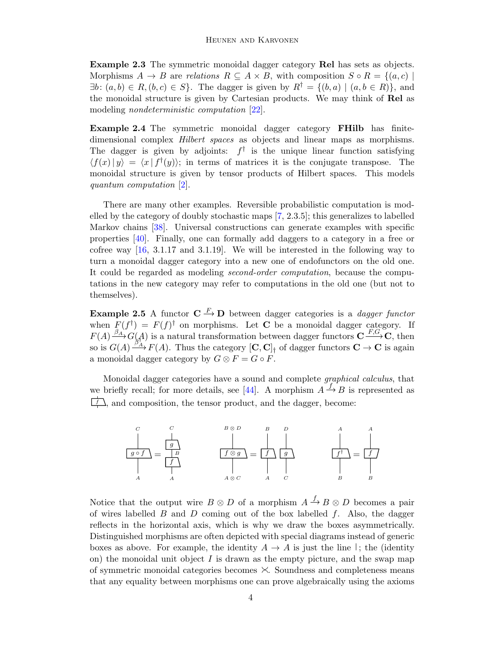Example 2.3 The symmetric monoidal dagger category Rel has sets as objects. Morphisms  $A \to B$  are relations  $R \subseteq A \times B$ , with composition  $S \circ R = \{(a, c) \mid$  $\exists b \colon (a, b) \in R$ ,  $(b, c) \in S$ . The dagger is given by  $R^{\dagger} = \{(b, a) \mid (a, b \in R)\}\$ , and the monoidal structure is given by Cartesian products. We may think of Rel as modeling *nondeterministic computation* [\[22\]](#page-15-11).

Example 2.4 The symmetric monoidal dagger category FHilb has finitedimensional complex *Hilbert spaces* as objects and linear maps as morphisms. The dagger is given by adjoints:  $f^{\dagger}$  is the unique linear function satisfying  $\langle f(x) | y \rangle = \langle x | f^{\dagger}(y) \rangle$ ; in terms of matrices it is the conjugate transpose. The monoidal structure is given by tensor products of Hilbert spaces. This models quantum computation [\[2\]](#page-15-0).

There are many other examples. Reversible probabilistic computation is modelled by the category of doubly stochastic maps [\[7,](#page-15-12) 2.3.5]; this generalizes to labelled Markov chains [\[38\]](#page-16-13). Universal constructions can generate examples with specific properties [\[40\]](#page-16-14). Finally, one can formally add daggers to a category in a free or cofree way [\[16,](#page-15-13) 3.1.17 and 3.1.19]. We will be interested in the following way to turn a monoidal dagger category into a new one of endofunctors on the old one. It could be regarded as modeling second-order computation, because the computations in the new category may refer to computations in the old one (but not to themselves).

**Example 2.5** A functor  $C \stackrel{F}{\rightarrow} D$  between dagger categories is a *dagger functor* when  $F(f^{\dagger}) = F(f)^{\dagger}$  on morphisms. Let **C** be a monoidal dagger category. If  $F(A) \stackrel{\beta_A}{\longrightarrow} G(A)$  is a natural transformation between dagger functors  $C \stackrel{F,G}{\longrightarrow} C$ , then so is  $G(A) \xrightarrow{\beta_1^T} F(A)$ . Thus the category  $[\mathbf{C}, \mathbf{C}]_1$  of dagger functors  $\mathbf{C} \to \mathbf{C}$  is again a monoidal dagger category by  $G \otimes F = G \circ F$ .

Monoidal dagger categories have a sound and complete graphical calculus, that we briefly recall; for more details, see [\[44\]](#page-16-5). A morphism  $A \stackrel{f}{\rightarrow} B$  is represented as  $\downarrow$ , and composition, the tensor product, and the dagger, become:



Notice that the output wire  $B \otimes D$  of a morphism  $A \stackrel{f}{\rightarrow} B \otimes D$  becomes a pair of wires labelled  $B$  and  $D$  coming out of the box labelled  $f$ . Also, the dagger reflects in the horizontal axis, which is why we draw the boxes asymmetrically. Distinguished morphisms are often depicted with special diagrams instead of generic boxes as above. For example, the identity  $A \to A$  is just the line ; the (identity on) the monoidal unit object  $I$  is drawn as the empty picture, and the swap map of symmetric monoidal categories becomes  $\times$ . Soundness and completeness means that any equality between morphisms one can prove algebraically using the axioms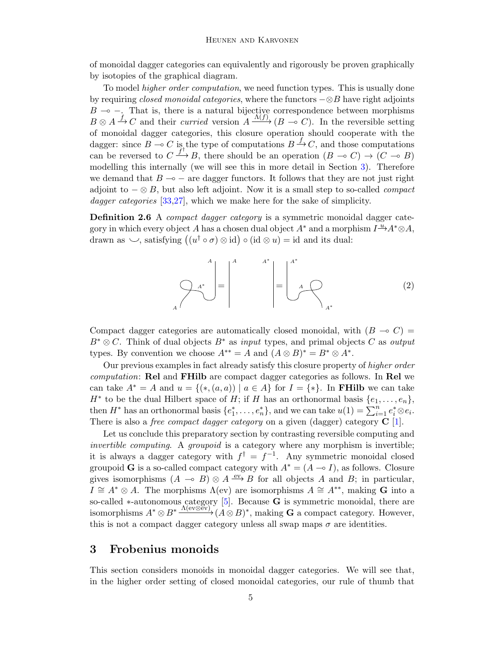of monoidal dagger categories can equivalently and rigorously be proven graphically by isotopies of the graphical diagram.

To model higher order computation, we need function types. This is usually done by requiring *closed monoidal categories*, where the functors  $-\otimes B$  have right adjoints  $B \rightarrow -$ . That is, there is a natural bijective correspondence between morphisms  $B \otimes A \xrightarrow{f} C$  and their *curried* version  $A \xrightarrow{\Lambda(f)} (B \multimap C)$ . In the reversible setting of monoidal dagger categories, this closure operation should cooperate with the dagger: since  $B \to C$  is the type of computations  $B \to C$ , and those computations can be reversed to  $C \xrightarrow{f^+} B$ , there should be an operation  $(B \multimap C) \rightarrow (C \multimap B)$ modelling this internally (we will see this in more detail in Section [3\)](#page-4-0). Therefore we demand that  $B \rightarrow -$  are dagger functors. It follows that they are not just right adjoint to  $-\otimes B$ , but also left adjoint. Now it is a small step to so-called *compact* dagger categories [\[33](#page-16-15)[,27\]](#page-16-16), which we make here for the sake of simplicity.

Definition 2.6 A compact dagger category is a symmetric monoidal dagger category in which every object A has a chosen dual object  $A^*$  and a morphism  $I^{\underline{u}} \rightarrow A^* \otimes A$ , drawn as  $\smile$ , satisfying  $((u^{\dagger} \circ \sigma) \otimes id) \circ (id \otimes u) = id$  and its dual:

$$
A^* = \begin{pmatrix} 1 & A^* \\ A^* \end{pmatrix} = \begin{pmatrix} 1 & A^* \\ A^* \end{pmatrix} = \begin{pmatrix} 1 & A^* \\ A \end{pmatrix} \tag{2}
$$

Compact dagger categories are automatically closed monoidal, with  $(B \multimap C)$  =  $B^* \otimes C$ . Think of dual objects  $B^*$  as input types, and primal objects C as output types. By convention we choose  $A^{**} = A$  and  $(A \otimes B)^* = B^* \otimes A^*$ .

Our previous examples in fact already satisfy this closure property of higher order computation: Rel and FHilb are compact dagger categories as follows. In Rel we can take  $A^* = A$  and  $u = \{(*, (a, a)) \mid a \in A\}$  for  $I = \{*\}.$  In **FHilb** we can take  $H^*$  to be the dual Hilbert space of H; if H has an orthonormal basis  $\{e_1, \ldots, e_n\}$ , then  $H^*$  has an orthonormal basis  $\{e_1^*, \ldots, e_n^*\}$ , and we can take  $u(1) = \sum_{i=1}^n e_i^* \otimes e_i$ . There is also a *free compact dagger category* on a given (dagger) category  $C$  [\[1\]](#page-15-14).

Let us conclude this preparatory section by contrasting reversible computing and invertible computing. A groupoid is a category where any morphism is invertible; it is always a dagger category with  $f^{\dagger} = f^{-1}$ . Any symmetric monoidal closed groupoid G is a so-called compact category with  $A^* = (A \rightarrow I)$ , as follows. Closure gives isomorphisms  $(A \multimap B) \otimes A \stackrel{ev}{\longrightarrow} B$  for all objects A and B; in particular,  $I \cong A^* \otimes A$ . The morphisms  $\Lambda$ (ev) are isomorphisms  $A \cong A^{**}$ , making G into a so-called ∗-autonomous category [\[5\]](#page-15-9). Because **G** is symmetric monoidal, there are isomorphisms  $A^* \otimes B^* \xrightarrow{\Lambda(e \vee \otimes \check{e} \vee)} (A \otimes B)^*$ , making G a compact category. However, this is not a compact dagger category unless all swap maps  $\sigma$  are identities.

### <span id="page-4-0"></span>3 Frobenius monoids

This section considers monoids in monoidal dagger categories. We will see that, in the higher order setting of closed monoidal categories, our rule of thumb that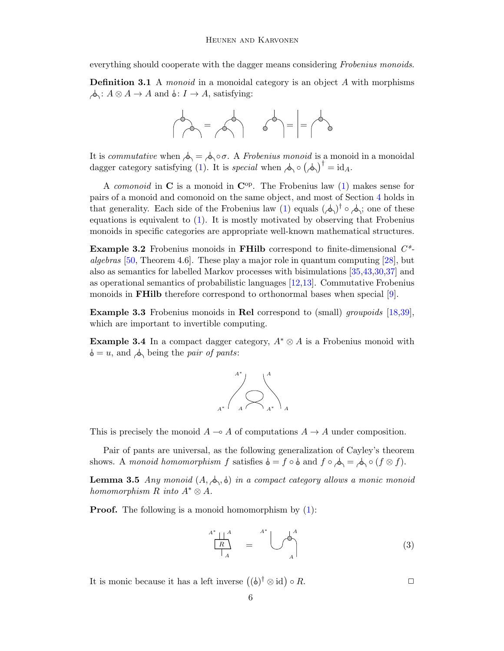everything should cooperate with the dagger means considering Frobenius monoids.

<span id="page-5-3"></span>**Definition 3.1** A *monoid* in a monoidal category is an object A with morphisms  $\phi: A \otimes A \to A$  and  $\phi: I \to A$ , satisfying:



It is commutative when  $\phi_0 = \phi_0 \circ \sigma$ . A Frobenius monoid is a monoid in a monoidal dagger category satisfying [\(1\)](#page-1-1). It is special when  $\phi \circ (\phi)$ <sup>†</sup> = id<sub>A</sub>.

A *comonoid* in  $\bf{C}$  is a monoid in  $\bf{C}^{op}$ . The Frobenius law [\(1\)](#page-1-1) makes sense for pairs of a monoid and comonoid on the same object, and most of Section [4](#page-7-0) holds in that generality. Each side of the Frobenius law [\(1\)](#page-1-1) equals  $(\rightarrow)^{\dagger} \circ \rightarrow$ ; one of these equations is equivalent to [\(1\)](#page-1-1). It is mostly motivated by observing that Frobenius monoids in specific categories are appropriate well-known mathematical structures.

<span id="page-5-1"></span>**Example 3.2** Frobenius monoids in **FHilb** correspond to finite-dimensional  $C^*$ algebras [\[50,](#page-16-17) Theorem 4.6]. These play a major role in quantum computing [\[28\]](#page-16-18), but also as semantics for labelled Markov processes with bisimulations [\[35,](#page-16-19)[43,](#page-16-20)[30,](#page-16-21)[37\]](#page-16-22) and as operational semantics of probabilistic languages [\[12,](#page-15-15)[13\]](#page-15-16). Commutative Frobenius monoids in FHilb therefore correspond to orthonormal bases when special [\[9\]](#page-15-17).

<span id="page-5-0"></span>Example 3.3 Frobenius monoids in Rel correspond to (small) groupoids [\[18,](#page-15-18)[39\]](#page-16-23), which are important to invertible computing.

**Example 3.4** In a compact dagger category,  $A^* \otimes A$  is a Frobenius monoid with  $\phi = u$ , and  $\phi$  being the *pair of pants*:



This is precisely the monoid  $A \rightarrow A$  of computations  $A \rightarrow A$  under composition.

Pair of pants are universal, as the following generalization of Cayley's theorem shows. A monoid homomorphism f satisfies  $\phi = f \circ \phi$  and  $f \circ \phi = \phi \circ (f \otimes f)$ .

**Lemma 3.5** Any monoid  $(A, \phi, \phi)$  in a compact category allows a monic monoid homomorphism R into  $A^* \otimes A$ .

**Proof.** The following is a monoid homomorphism by  $(1)$ :

<span id="page-5-2"></span>
$$
\frac{A^* \parallel A}{R} = \bigcup_{A}^{A^*} \bigcup_{A}^{A} \tag{3}
$$

It is monic because it has a left inverse  $((\phi)^{\dagger} \otimes id) \circ R$ .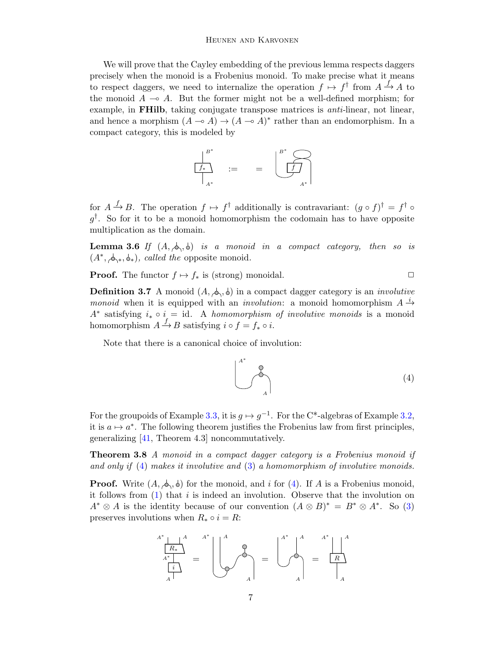We will prove that the Cayley embedding of the previous lemma respects daggers precisely when the monoid is a Frobenius monoid. To make precise what it means to respect daggers, we need to internalize the operation  $f \mapsto f^{\dagger}$  from  $A \xrightarrow{f} A$  to the monoid  $A \rightarrow A$ . But the former might not be a well-defined morphism; for example, in **FHilb**, taking conjugate transpose matrices is *anti*-linear, not linear, and hence a morphism  $(A \rightarrow A) \rightarrow (A \rightarrow A)^*$  rather than an endomorphism. In a compact category, this is modeled by

$$
\begin{array}{ccc}\n & B^* \\
\hline\nf_* \\
\hline\n\end{array} := & = & \underbrace{\begin{array}{c}\n & B^* \\
\hline\n\end{array}}_{A^*} \end{array}
$$

for  $A \stackrel{f}{\rightarrow} B$ . The operation  $f \mapsto f^{\dagger}$  additionally is contravariant:  $(g \circ f)^{\dagger} = f^{\dagger} \circ f$  $g^{\dagger}$ . So for it to be a monoid homomorphism the codomain has to have opposite multiplication as the domain.

**Lemma 3.6** If  $(A, \phi, \phi)$  is a monoid in a compact category, then so is  $(A^*, \phi_*^*, \phi_*),$  called the opposite monoid.

**Proof.** The functor  $f \mapsto f_*$  is (strong) monoidal.  $\Box$ 

**Definition 3.7** A monoid  $(A, \phi, \phi)$  in a compact dagger category is an *involutive monoid* when it is equipped with an *involution*: a monoid homomorphism  $A^{-1}$  $A^*$  satisfying  $i_* \circ i = id$ . A homomorphism of involutive monoids is a monoid homomorphism  $A \stackrel{f}{\rightarrow} B$  satisfying  $i \circ f = f_* \circ i$ .

Note that there is a canonical choice of involution:

<span id="page-6-0"></span>
$$
\begin{pmatrix} 1 \\ 1 \end{pmatrix} \tag{4}
$$

For the groupoids of Example [3.3,](#page-5-0) it is  $g \mapsto g^{-1}$ . For the C<sup>\*</sup>-algebras of Example [3.2,](#page-5-1) it is  $a \mapsto a^*$ . The following theorem justifies the Frobenius law from first principles, generalizing [\[41,](#page-16-7) Theorem 4.3] noncommutatively.

**Theorem 3.8** A monoid in a compact dagger category is a Frobenius monoid if and only if  $(4)$  makes it involutive and  $(3)$  a homomorphism of involutive monoids.

**Proof.** Write  $(A, \phi, \phi)$  for the monoid, and i for [\(4\)](#page-6-0). If A is a Frobenius monoid, it follows from  $(1)$  that i is indeed an involution. Observe that the involution on  $A^* \otimes A$  is the identity because of our convention  $(A \otimes B)^* = B^* \otimes A^*$ . So [\(3\)](#page-5-2) preserves involutions when  $R_* \circ i = R$ :

$$
\frac{A^*}{A^*} \frac{A^*}{A^*} = \begin{bmatrix} A & A^* \\ A^* & A^* \end{bmatrix} = \begin{bmatrix} A^* & A^* & A^* \\ A^* & A^* & A^* \end{bmatrix}
$$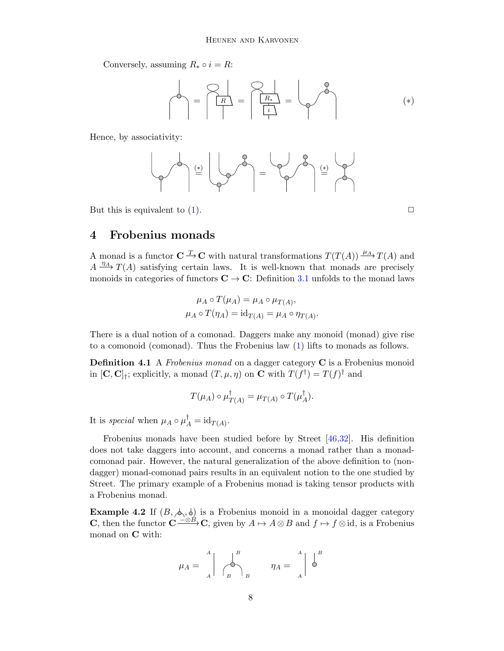Conversely, assuming  $R_* \circ i = R$ :

<span id="page-7-2"></span>= <sup>R</sup> = <sup>R</sup><sup>∗</sup> i = (∗)

Hence, by associativity:

$$
\left(\begin{array}{c} \mathbf{1} \\ \mathbf{1} \\ \mathbf{1} \end{array}\right) \stackrel{\left(\frac{1}{\mathbf{1}}\right)}{\equiv} \left(\begin{array}{c} \mathbf{1} \\ \mathbf{1} \\ \mathbf{1} \end{array}\right) \stackrel{\left(\frac{1}{\mathbf{1}}\right)}{\equiv} \left(\begin{array}{c} \mathbf{1} \\ \mathbf{1} \\ \mathbf{1} \end{array}\right) \stackrel{\left(\frac{1}{\mathbf{1}}\right)}{\equiv} \left(\begin{array}{c} \mathbf{1} \\ \mathbf{1} \\ \mathbf{1} \end{array}\right)
$$

But this is equivalent to  $(1)$ .

## <span id="page-7-0"></span>4 Frobenius monads

A monad is a functor  $C \longrightarrow C$  with natural transformations  $T(T(A)) \longrightarrow H$  and  $A \xrightarrow{\eta_A} T(A)$  satisfying certain laws. It is well-known that monads are precisely monoids in categories of functors  $C \rightarrow C$ : Definition [3.1](#page-5-3) unfolds to the monad laws

$$
\mu_A \circ T(\mu_A) = \mu_A \circ \mu_{T(A)},
$$
  

$$
\mu_A \circ T(\eta_A) = \mathrm{id}_{T(A)} = \mu_A \circ \eta_{T(A)}.
$$

There is a dual notion of a comonad. Daggers make any monoid (monad) give rise to a comonoid (comonad). Thus the Frobenius law [\(1\)](#page-1-1) lifts to monads as follows.

Definition 4.1 A Frobenius monad on a dagger category C is a Frobenius monoid in  $[\mathbf{C}, \mathbf{C}]_{\dagger}$ ; explicitly, a monad  $(T, \mu, \eta)$  on  $\mathbf{C}$  with  $T(f^{\dagger}) = T(f)^{\dagger}$  and

$$
T(\mu_A) \circ \mu_{T(A)}^{\dagger} = \mu_{T(A)} \circ T(\mu_A^{\dagger}).
$$

It is special when  $\mu_A \circ \mu_A^{\dagger} = \mathrm{id}_{T(A)}$ .

Frobenius monads have been studied before by Street [\[46,](#page-16-9)[32\]](#page-16-10). His definition does not take daggers into account, and concerns a monad rather than a monadcomonad pair. However, the natural generalization of the above definition to (nondagger) monad-comonad pairs results in an equivalent notion to the one studied by Street. The primary example of a Frobenius monad is taking tensor products with a Frobenius monad.

<span id="page-7-1"></span>**Example 4.2** If  $(B, \phi, \phi)$  is a Frobenius monoid in a monoidal dagger category **C**, then the functor  $\mathbf{C} \stackrel{-\otimes \hat{B}}{\longrightarrow} \mathbf{C}$ , given by  $A \mapsto A \otimes B$  and  $f \mapsto f \otimes id$ , is a Frobenius monad on C with:

$$
\mu_A = \begin{array}{c} A \\ A \end{array} \bigg| \begin{array}{c} B \\ \bigcirc \\ B \end{array} \bigg|_B \qquad \eta_A = \begin{array}{c} A \\ A \end{array} \bigg| \begin{array}{c} B \\ \bigcirc \end{array}
$$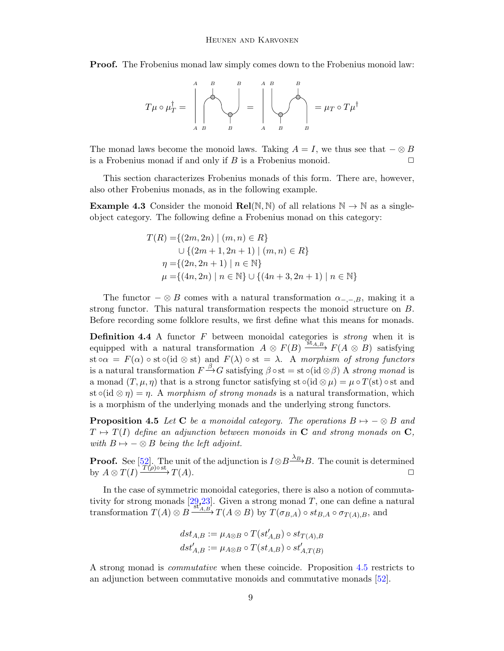**Proof.** The Frobenius monad law simply comes down to the Frobenius monoid law:

$$
T\mu \circ \mu_T^{\dagger} = \left(\bigotimes_{A \ B}^{A \ B} \bigotimes_{B}^{B} = \left(\bigotimes_{A \ B}^{A \ B} \bigotimes_{B}^{B} = \mu_T \circ T\mu^{\dagger}\right)
$$

The monad laws become the monoid laws. Taking  $A = I$ , we thus see that  $-\otimes B$ is a Frobenius monad if and only if B is a Frobenius monoid.  $\Box$ 

This section characterizes Frobenius monads of this form. There are, however, also other Frobenius monads, as in the following example.

**Example 4.3** Consider the monoid  $\text{Rel}(\mathbb{N}, \mathbb{N})$  of all relations  $\mathbb{N} \to \mathbb{N}$  as a singleobject category. The following define a Frobenius monad on this category:

$$
T(R) = \{(2m, 2n) \mid (m, n) \in R\}
$$
  
\n
$$
\cup \{(2m + 1, 2n + 1) \mid (m, n) \in R\}
$$
  
\n
$$
\eta = \{(2n, 2n + 1) \mid n \in \mathbb{N}\}
$$
  
\n
$$
\mu = \{(4n, 2n) \mid n \in \mathbb{N}\} \cup \{(4n + 3, 2n + 1) \mid n \in \mathbb{N}\}
$$

The functor  $-\otimes B$  comes with a natural transformation  $\alpha_{-,-,B}$ , making it a strong functor. This natural transformation respects the monoid structure on B. Before recording some folklore results, we first define what this means for monads.

**Definition 4.4** A functor  $F$  between monoidal categories is *strong* when it is equipped with a natural transformation  $A \otimes F(B) \xrightarrow{\text{St}_{A,B}} F(A \otimes B)$  satisfying st  $\circ \alpha = F(\alpha) \circ \text{st} \circ (\text{id} \otimes \text{st})$  and  $F(\lambda) \circ \text{st} = \lambda$ . A morphism of strong functors is a natural transformation  $F \xrightarrow{\beta} G$  satisfying  $\beta \circ st = st \circ (id \otimes \beta)$  A strong monad is a monad  $(T, \mu, \eta)$  that is a strong functor satisfying st  $\circ$ (id  $\otimes \mu$ ) =  $\mu \circ T(\text{st})$   $\circ$  st and st  $\circ$ (id  $\otimes \eta$ ) =  $\eta$ . A morphism of strong monads is a natural transformation, which is a morphism of the underlying monads and the underlying strong functors.

<span id="page-8-0"></span>**Proposition 4.5** Let C be a monoidal category. The operations  $B \rightarrow -\otimes B$  and  $T \mapsto T(I)$  define an adjunction between monoids in C and strong monads on C, with  $B \mapsto -\otimes B$  being the left adjoint.

**Proof.** See [\[52\]](#page-16-24). The unit of the adjunction is  $I \otimes B \xrightarrow{\lambda_B} B$ . The counit is determined by  $A \otimes T(I) \xrightarrow{T(\rho) \circ st} T(A)$ .

In the case of symmetric monoidal categories, there is also a notion of commutativity for strong monads  $[29,23]$  $[29,23]$ . Given a strong monad T, one can define a natural transformation  $T(A) \otimes B \xrightarrow{\text{st}_{A,B}} T(A \otimes B)$  by  $T(\sigma_{B,A}) \circ st_{B,A} \circ \sigma_{T(A),B}$ , and

$$
dst_{A,B} := \mu_{A \otimes B} \circ T(st'_{A,B}) \circ st_{T(A),B}
$$
  

$$
dst'_{A,B} := \mu_{A \otimes B} \circ T(st_{A,B}) \circ st'_{A,T(B)}
$$

A strong monad is commutative when these coincide. Proposition [4.5](#page-8-0) restricts to an adjunction between commutative monoids and commutative monads [\[52\]](#page-16-24).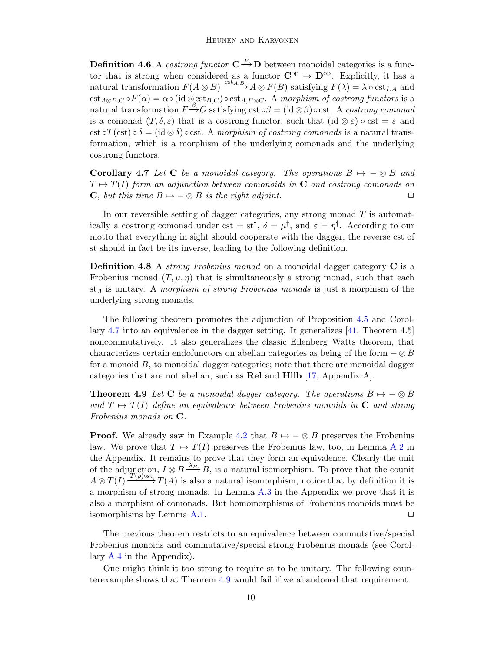**Definition 4.6** A *costrong functor*  $C \rightarrow D$  between monoidal categories is a functor that is strong when considered as a functor  $\mathbf{C}^{\mathrm{op}} \to \mathbf{D}^{\mathrm{op}}$ . Explicitly, it has a natural transformation  $F(A \otimes B) \xrightarrow{\text{cst}_{A,B}} A \otimes F(B)$  satisfying  $F(\lambda) = \lambda \circ \text{cst}_{I,A}$  and  $\text{cst}_{A\otimes B,C} \circ F(\alpha) = \alpha \circ (\text{id} \otimes \text{cst}_{B,C}) \circ \text{cst}_{A,B\otimes C}.$  A morphism of costrong functors is a natural transformation  $F \xrightarrow{\beta} G$  satisfying cst  $\circ \beta = (\mathrm{id} \otimes \beta) \circ \mathrm{cst}$ . A costrong comonad is a comonad  $(T, \delta, \varepsilon)$  that is a costrong functor, such that  $(id \otimes \varepsilon) \circ \text{cst} = \varepsilon$  and cst ∘ $T(\text{cst}) \circ \delta = (\text{id} \otimes \delta) \circ \text{cst}$ . A morphism of costrong comonads is a natural transformation, which is a morphism of the underlying comonads and the underlying costrong functors.

<span id="page-9-0"></span>**Corollary 4.7** Let C be a monoidal category. The operations  $B \mapsto -\otimes B$  and  $T \mapsto T(I)$  form an adjunction between comonoids in C and costrong comonads on **C**, but this time  $B \mapsto -\otimes B$  is the right adjoint.

In our reversible setting of dagger categories, any strong monad  $T$  is automatically a costrong comonad under cst =  $st^{\dagger}$ ,  $\delta = \mu^{\dagger}$ , and  $\varepsilon = \eta^{\dagger}$ . According to our motto that everything in sight should cooperate with the dagger, the reverse cst of st should in fact be its inverse, leading to the following definition.

Definition 4.8 A *strong Frobenius monad* on a monoidal dagger category C is a Frobenius monad  $(T, \mu, \eta)$  that is simultaneously a strong monad, such that each  $st_A$  is unitary. A morphism of strong Frobenius monads is just a morphism of the underlying strong monads.

The following theorem promotes the adjunction of Proposition [4.5](#page-8-0) and Corollary [4.7](#page-9-0) into an equivalence in the dagger setting. It generalizes [\[41,](#page-16-7) Theorem 4.5] noncommutatively. It also generalizes the classic Eilenberg–Watts theorem, that characterizes certain endofunctors on abelian categories as being of the form  $-\otimes B$ for a monoid  $B$ , to monoidal dagger categories; note that there are monoidal dagger categories that are not abelian, such as Rel and Hilb [\[17,](#page-15-20) Appendix A].

<span id="page-9-1"></span>**Theorem 4.9** Let C be a monoidal dagger category. The operations  $B \mapsto -\otimes B$ and  $T \mapsto T(I)$  define an equivalence between Frobenius monoids in C and strong Frobenius monads on C.

**Proof.** We already saw in Example [4.2](#page-7-1) that  $B \rightarrow -\otimes B$  preserves the Frobenius law. We prove that  $T \mapsto T(I)$  preserves the Frobenius law, too, in Lemma [A.2](#page-17-0) in the Appendix. It remains to prove that they form an equivalence. Clearly the unit of the adjunction,  $I \otimes B \stackrel{\lambda_B}{\longrightarrow} B$ , is a natural isomorphism. To prove that the counit  $A \otimes T(I) \xrightarrow{T(\rho) \text{ost}} T(A)$  is also a natural isomorphism, notice that by definition it is a morphism of strong monads. In Lemma [A.3](#page-17-1) in the Appendix we prove that it is also a morphism of comonads. But homomorphisms of Frobenius monoids must be isomorphisms by Lemma [A.1.](#page-17-2)  $\Box$ 

The previous theorem restricts to an equivalence between commutative/special Frobenius monoids and commutative/special strong Frobenius monads (see Corollary [A.4](#page-18-0) in the Appendix).

One might think it too strong to require st to be unitary. The following counterexample shows that Theorem [4.9](#page-9-1) would fail if we abandoned that requirement.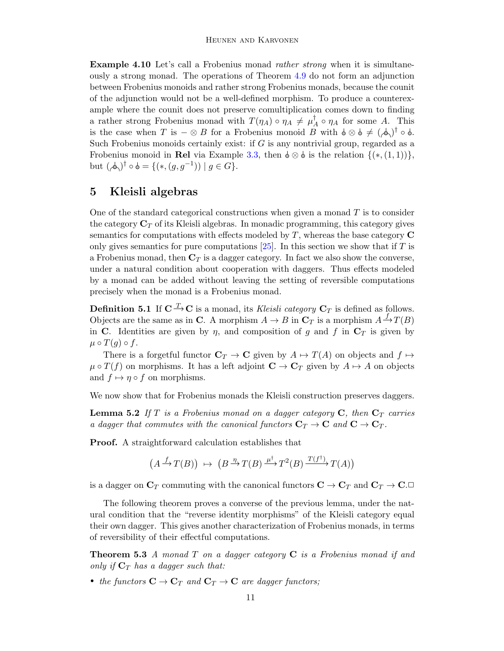Example 4.10 Let's call a Frobenius monad rather strong when it is simultaneously a strong monad. The operations of Theorem [4.9](#page-9-1) do not form an adjunction between Frobenius monoids and rather strong Frobenius monads, because the counit of the adjunction would not be a well-defined morphism. To produce a counterexample where the counit does not preserve comultiplication comes down to finding a rather strong Frobenius monad with  $T(\eta_A) \circ \eta_A \neq \mu_A^{\dagger}$  $_A^{\dagger} \circ \eta_A$  for some A. This is the case when T is  $-\otimes B$  for a Frobenius monoid B with  $\phi \otimes \phi \neq (\phi \phi)^{\dagger} \circ \phi$ . Such Frobenius monoids certainly exist: if  $G$  is any nontrivial group, regarded as a Frobenius monoid in Rel via Example [3.3,](#page-5-0) then  $\phi \otimes \phi$  is the relation  $\{(*,(1,1))\}$ , but  $(\phi)^\dagger \circ \phi = \{(*,(g,g^{-1})) \mid g \in G\}.$ 

## <span id="page-10-0"></span>5 Kleisli algebras

One of the standard categorical constructions when given a monad  $T$  is to consider the category  $\mathbf{C}_T$  of its Kleisli algebras. In monadic programming, this category gives semantics for computations with effects modeled by  $T$ , whereas the base category  $C$ only gives semantics for pure computations  $[25]$ . In this section we show that if T is a Frobenius monad, then  $C_T$  is a dagger category. In fact we also show the converse, under a natural condition about cooperation with daggers. Thus effects modeled by a monad can be added without leaving the setting of reversible computations precisely when the monad is a Frobenius monad.

**Definition 5.1** If  $C \xrightarrow{T} C$  is a monad, its Kleisli category  $C_T$  is defined as follows. Objects are the same as in C. A morphism  $A \to B$  in  $\mathbb{C}_T$  is a morphism  $A \xrightarrow{f} T(B)$ in C. Identities are given by  $\eta$ , and composition of g and f in  $C_T$  is given by  $\mu \circ T(g) \circ f.$ 

There is a forgetful functor  $\mathbf{C}_T \to \mathbf{C}$  given by  $A \mapsto T(A)$  on objects and  $f \mapsto$  $\mu \circ T(f)$  on morphisms. It has a left adjoint  $\mathbf{C} \to \mathbf{C}_T$  given by  $A \mapsto A$  on objects and  $f \mapsto \eta \circ f$  on morphisms.

We now show that for Frobenius monads the Kleisli construction preserves daggers.

<span id="page-10-1"></span>**Lemma 5.2** If T is a Frobenius monad on a dagger category  $C$ , then  $C<sub>T</sub>$  carries a dagger that commutes with the canonical functors  $\mathbf{C}_T \to \mathbf{C}$  and  $\mathbf{C} \to \mathbf{C}_T$ .

Proof. A straightforward calculation establishes that

$$
(A \xrightarrow{f} T(B)) \mapsto (B \xrightarrow{\eta} T(B) \xrightarrow{\mu^{\dagger}} T^{2}(B) \xrightarrow{T(f^{\dagger})} T(A))
$$

is a dagger on  $\mathbf{C}_T$  commuting with the canonical functors  $\mathbf{C} \to \mathbf{C}_T$  and  $\mathbf{C}_T \to \mathbf{C}$ .

The following theorem proves a converse of the previous lemma, under the natural condition that the "reverse identity morphisms" of the Kleisli category equal their own dagger. This gives another characterization of Frobenius monads, in terms of reversibility of their effectful computations.

**Theorem 5.3** A monad T on a dagger category  $C$  is a Frobenius monad if and only if  $C_T$  has a dagger such that:

• the functors  $\mathbf{C} \to \mathbf{C}_T$  and  $\mathbf{C}_T \to \mathbf{C}$  are dagger functors;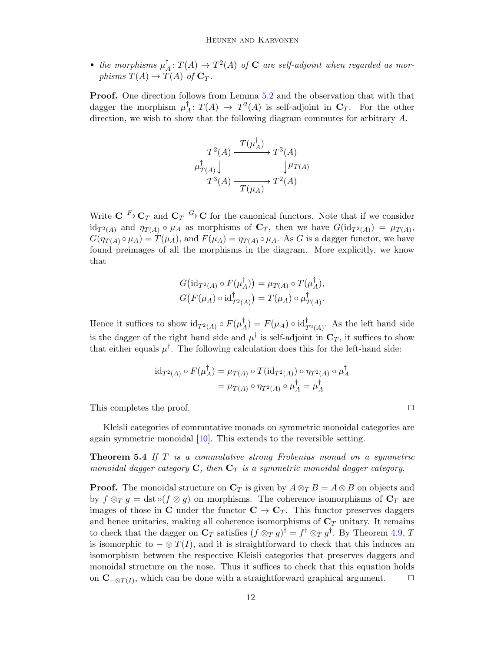• the morphisms  $\mu_1^{\dagger}$  $A^{\dagger}: T(A) \rightarrow T^2(A)$  of **C** are self-adjoint when regarded as morphisms  $T(A) \to T(A)$  of  $C_T$ .

Proof. One direction follows from Lemma [5.2](#page-10-1) and the observation that with that dagger the morphism  $\mu^{\dagger}$  $A^{\dagger}: T(A) \rightarrow T^2(A)$  is self-adjoint in  $\mathbf{C}_T$ . For the other direction, we wish to show that the following diagram commutes for arbitrary A.

$$
T^{2}(A) \xrightarrow{T(\mu_{A}^{\dagger})} T^{3}(A)
$$
  

$$
\mu_{T(A)}^{\dagger} \downarrow \qquad \qquad \downarrow \mu_{T(A)}
$$
  

$$
T^{3}(A) \xrightarrow{T(\mu_{A})} T^{2}(A)
$$

Write  $C \xrightarrow{F} C_T$  and  $C_T \xrightarrow{G} C$  for the canonical functors. Note that if we consider  $\mathrm{id}_{T^2(A)}$  and  $\eta_{T(A)} \circ \mu_A$  as morphisms of  $\mathbf{C}_T$ , then we have  $G(\mathrm{id}_{T^2(A)}) = \mu_{T(A)}$ ,  $G(\eta_{T(A)} \circ \mu_A) = T(\mu_A)$ , and  $F(\mu_A) = \eta_{T(A)} \circ \mu_A$ . As G is a dagger functor, we have found preimages of all the morphisms in the diagram. More explicitly, we know that

$$
G\big(\mathrm{id}_{T^2(A)}\circ F(\mu_A^{\dagger})\big)=\mu_{T(A)}\circ T(\mu_A^{\dagger}),
$$
  

$$
G\big(F(\mu_A)\circ\mathrm{id}_{T^2(A)}^{\dagger}\big)=T(\mu_A)\circ\mu_{T(A)}^{\dagger}.
$$

Hence it suffices to show  $\mathrm{id}_{T^2(A)} \circ F(\mu_{\mathcal{A}}^{\dagger})$  $A^{\dagger}_{A}$ ) =  $F(\mu_A) \circ \mathrm{id}_{T^2(A)}^{\dagger}$ . As the left hand side is the dagger of the right hand side and  $\mu^{\dagger}$  is self-adjoint in  $\mathbf{C}_T$ , it suffices to show that either equals  $\mu^{\dagger}$ . The following calculation does this for the left-hand side:

$$
\mathrm{id}_{T^2(A)} \circ F(\mu_A^{\dagger}) = \mu_{T(A)} \circ T(\mathrm{id}_{T^2(A)}) \circ \eta_{T^2(A)} \circ \mu_A^{\dagger}
$$

$$
= \mu_{T(A)} \circ \eta_{T^2(A)} \circ \mu_A^{\dagger} = \mu_A^{\dagger}
$$

This completes the proof.  $\Box$ 

Kleisli categories of commutative monads on symmetric monoidal categories are again symmetric monoidal [\[10\]](#page-15-22). This extends to the reversible setting.

**Theorem 5.4** If T is a commutative strong Frobenius monad on a symmetric monoidal dagger category  $C$ , then  $C_T$  is a symmetric monoidal dagger category.

**Proof.** The monoidal structure on  $\mathbf{C}_T$  is given by  $A \otimes_T B = A \otimes B$  on objects and by  $f \otimes_T g = \text{dst} \circ (f \otimes g)$  on morphisms. The coherence isomorphisms of  $\mathbb{C}_T$  are images of those in C under the functor  $C \to C_T$ . This functor preserves daggers and hence unitaries, making all coherence isomorphisms of  $C_T$  unitary. It remains to check that the dagger on  $\mathbf{C}_T$  satisfies  $(f \otimes_T g)^\dagger = f^\dagger \otimes_T g^\dagger$ . By Theorem [4.9,](#page-9-1) T is isomorphic to  $-\otimes T(I)$ , and it is straightforward to check that this induces an isomorphism between the respective Kleisli categories that preserves daggers and monoidal structure on the nose. Thus it suffices to check that this equation holds on  $\mathbf{C}_{-\otimes T(I)}$ , which can be done with a straightforward graphical argument.  $\Box$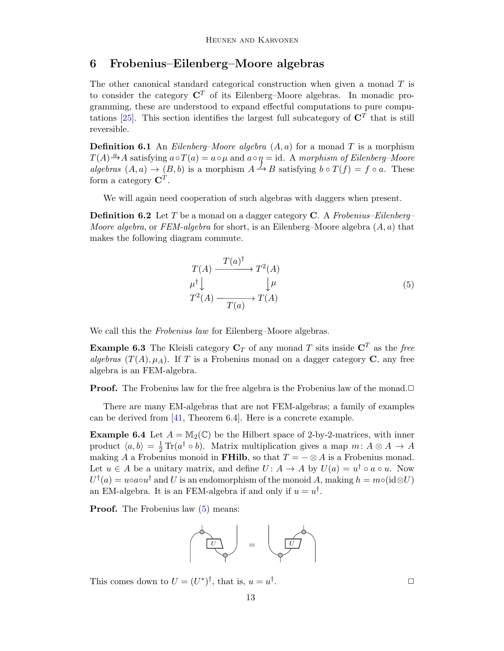## <span id="page-12-1"></span>6 Frobenius–Eilenberg–Moore algebras

The other canonical standard categorical construction when given a monad  $T$  is to consider the category  $\mathbb{C}^T$  of its Eilenberg–Moore algebras. In monadic programming, these are understood to expand effectful computations to pure compu-tations [\[25\]](#page-15-21). This section identifies the largest full subcategory of  $\mathbb{C}^T$  that is still reversible.

**Definition 6.1** An *Eilenberg–Moore algebra*  $(A, a)$  for a monad T is a morphism  $T(A) \xrightarrow{a} A$  satisfying  $a \circ T(a) = a \circ \mu$  and  $a \circ \eta = id$ . A morphism of Eilenberg-Moore algebras  $(A, a) \rightarrow (B, b)$  is a morphism  $A \stackrel{f}{\rightarrow} B$  satisfying  $b \circ T(f) = f \circ a$ . These form a category  $\mathbf{C}^T$ .

We will again need cooperation of such algebras with daggers when present.

**Definition 6.2** Let T be a monad on a dagger category C. A Frobenius–Eilenberg– *Moore algebra*, or FEM-algebra for short, is an Eilenberg–Moore algebra  $(A, a)$  that makes the following diagram commute.

$$
T(A) \xrightarrow{T(a)^{\dagger}} T^{2}(A)
$$
  
\n
$$
\mu^{\dagger} \downarrow \qquad \qquad \downarrow \mu
$$
  
\n
$$
T^{2}(A) \xrightarrow{T(a)} T(A)
$$
\n(5)

We call this the *Frobenius law* for Eilenberg–Moore algebras.

<span id="page-12-2"></span>**Example 6.3** The Kleisli category  $C_T$  of any monad T sits inside  $C^T$  as the free algebras  $(T(A), \mu_A)$ . If T is a Frobenius monad on a dagger category C, any free algebra is an FEM-algebra.

**Proof.** The Frobenius law for the free algebra is the Frobenius law of the monad.□

There are many EM-algebras that are not FEM-algebras; a family of examples can be derived from [\[41,](#page-16-7) Theorem 6.4]. Here is a concrete example.

<span id="page-12-0"></span>**Example 6.4** Let  $A = M_2(\mathbb{C})$  be the Hilbert space of 2-by-2-matrices, with inner product  $\langle a, b \rangle = \frac{1}{2} \text{Tr}(a^{\dagger} \circ b)$ . Matrix multiplication gives a map  $m: A \otimes A \to A$ making A a Frobenius monoid in FHilb, so that  $T = -\otimes A$  is a Frobenius monad. Let  $u \in A$  be a unitary matrix, and define  $U: A \to A$  by  $U(a) = u^{\dagger} \circ a \circ u$ . Now  $U^{\dagger}(a) = u \circ a \circ u^{\dagger}$  and U is an endomorphism of the monoid A, making  $h = m \circ (id \otimes U)$ an EM-algebra. It is an FEM-algebra if and only if  $u = u^{\dagger}$ .

**Proof.** The Frobenius law  $(5)$  means:



This comes down to  $U = (U^*)^{\dagger}$ , that is,  $u = u^{\dagger}$ 

.  $\Box$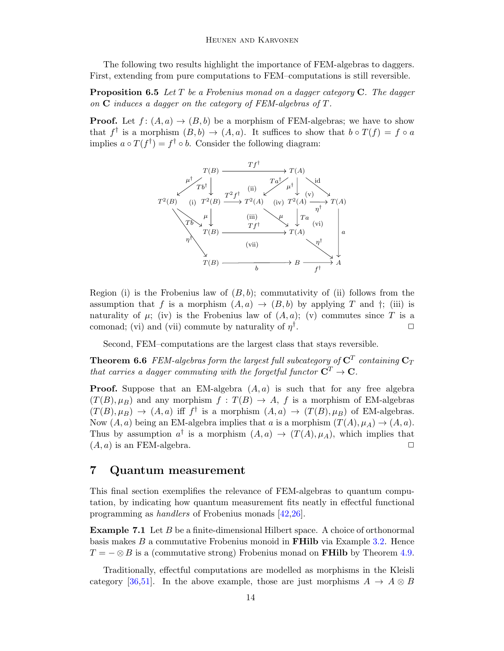The following two results highlight the importance of FEM-algebras to daggers. First, extending from pure computations to FEM–computations is still reversible.

**Proposition 6.5** Let  $T$  be a Frobenius monad on a dagger category  $C$ . The dagger on  $C$  induces a dagger on the category of FEM-algebras of  $T$ .

**Proof.** Let  $f : (A, a) \rightarrow (B, b)$  be a morphism of FEM-algebras; we have to show that  $f^{\dagger}$  is a morphism  $(B, b) \to (A, a)$ . It suffices to show that  $b \circ T(f) = f \circ a$ implies  $a \circ T(f^{\dagger}) = f^{\dagger} \circ b$ . Consider the following diagram:



Region (i) is the Frobenius law of  $(B, b)$ ; commutativity of (ii) follows from the assumption that f is a morphism  $(A, a) \rightarrow (B, b)$  by applying T and  $\dagger$ ; (iii) is naturality of  $\mu$ ; (iv) is the Frobenius law of  $(A, a)$ ; (v) commutes since T is a comonad; (vi) and (vii) commute by naturality of  $\eta^{\dagger}$ .  $\Box$ 

Second, FEM–computations are the largest class that stays reversible.

**Theorem 6.6** FEM-algebras form the largest full subcategory of  $C<sup>T</sup>$  containing  $C_T$ that carries a dagger commuting with the forgetful functor  $C^T \to C$ .

**Proof.** Suppose that an EM-algebra  $(A, a)$  is such that for any free algebra  $(T(B), \mu_B)$  and any morphism  $f: T(B) \to A$ , f is a morphism of EM-algebras  $(T(B), \mu_B) \rightarrow (A, a)$  iff f is a morphism  $(A, a) \rightarrow (T(B), \mu_B)$  of EM-algebras. Now  $(A, a)$  being an EM-algebra implies that a is a morphism  $(T(A), \mu_A) \to (A, a)$ . Thus by assumption  $a^{\dagger}$  is a morphism  $(A, a) \rightarrow (T(A), \mu_A)$ , which implies that  $(A, a)$  is an FEM-algebra.  $\square$ 

### <span id="page-13-0"></span>7 Quantum measurement

This final section exemplifies the relevance of FEM-algebras to quantum computation, by indicating how quantum measurement fits neatly in effectful functional programming as handlers of Frobenius monads [\[42](#page-16-8)[,26\]](#page-16-26).

**Example 7.1** Let  $B$  be a finite-dimensional Hilbert space. A choice of orthonormal basis makes  $B$  a commutative Frobenius monoid in **FHilb** via Example [3.2.](#page-5-1) Hence  $T = -\otimes B$  is a (commutative strong) Frobenius monad on **FHilb** by Theorem [4.9.](#page-9-1)

Traditionally, effectful computations are modelled as morphisms in the Kleisli category [\[36](#page-16-2)[,51\]](#page-16-0). In the above example, those are just morphisms  $A \to A \otimes B$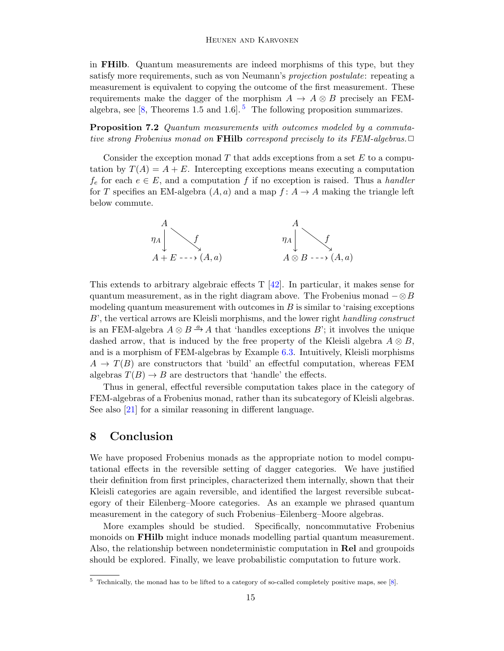in FHilb. Quantum measurements are indeed morphisms of this type, but they satisfy more requirements, such as von Neumann's projection postulate: repeating a measurement is equivalent to copying the outcome of the first measurement. These requirements make the dagger of the morphism  $A \rightarrow A \otimes B$  precisely an FEMalgebra, see  $[8,$  Theorems 1.[5](#page-14-0) and 1.6].<sup>5</sup> The following proposition summarizes.

Proposition 7.2 Quantum measurements with outcomes modeled by a commutative strong Frobenius monad on **FHilb** correspond precisely to its FEM-algebras.  $\Box$ 

Consider the exception monad  $T$  that adds exceptions from a set  $E$  to a computation by  $T(A) = A + E$ . Intercepting exceptions means executing a computation  $f_e$  for each  $e \in E$ , and a computation f if no exception is raised. Thus a handler for T specifies an EM-algebra  $(A, a)$  and a map  $f : A \rightarrow A$  making the triangle left below commute.



This extends to arbitrary algebraic effects  $T$  [\[42\]](#page-16-8). In particular, it makes sense for quantum measurement, as in the right diagram above. The Frobenius monad  $-\otimes B$ modeling quantum measurement with outcomes in  $B$  is similar to 'raising exceptions B', the vertical arrows are Kleisli morphisms, and the lower right handling construct is an FEM-algebra  $A \otimes B \stackrel{a}{\rightarrow} A$  that 'handles exceptions B'; it involves the unique dashed arrow, that is induced by the free property of the Kleisli algebra  $A \otimes B$ , and is a morphism of FEM-algebras by Example [6.3.](#page-12-2) Intuitively, Kleisli morphisms  $A \to T(B)$  are constructors that 'build' an effectful computation, whereas FEM algebras  $T(B) \to B$  are destructors that 'handle' the effects.

Thus in general, effectful reversible computation takes place in the category of FEM-algebras of a Frobenius monad, rather than its subcategory of Kleisli algebras. See also [\[21\]](#page-15-24) for a similar reasoning in different language.

### 8 Conclusion

We have proposed Frobenius monads as the appropriate notion to model computational effects in the reversible setting of dagger categories. We have justified their definition from first principles, characterized them internally, shown that their Kleisli categories are again reversible, and identified the largest reversible subcategory of their Eilenberg–Moore categories. As an example we phrased quantum measurement in the category of such Frobenius–Eilenberg–Moore algebras.

More examples should be studied. Specifically, noncommutative Frobenius monoids on FHilb might induce monads modelling partial quantum measurement. Also, the relationship between nondeterministic computation in Rel and groupoids should be explored. Finally, we leave probabilistic computation to future work.

<span id="page-14-0"></span> $5$  Technically, the monad has to be lifted to a category of so-called completely positive maps, see [\[8\]](#page-15-23).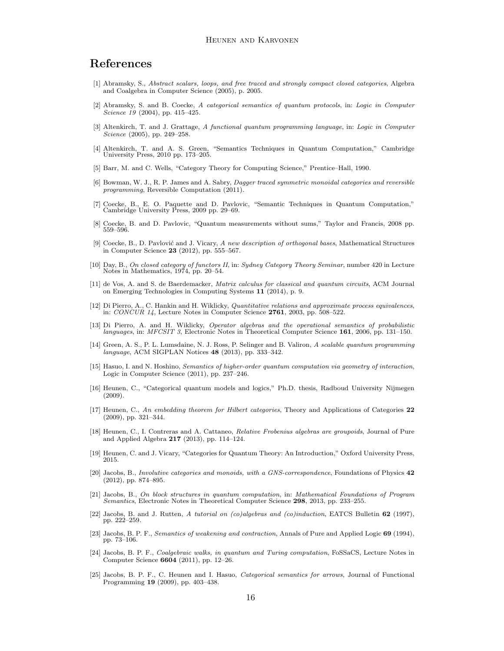## References

- <span id="page-15-14"></span>[1] Abramsky, S., Abstract scalars, loops, and free traced and strongly compact closed categories, Algebra and Coalgebra in Computer Science (2005), p. 2005.
- <span id="page-15-0"></span>[2] Abramsky, S. and B. Coecke, A categorical semantics of quantum protocols, in: Logic in Computer Science 19 (2004), pp. 415-425.
- <span id="page-15-3"></span>[3] Altenkirch, T. and J. Grattage, A functional quantum programming language, in: Logic in Computer Science (2005), pp. 249–258.
- <span id="page-15-2"></span>[4] Altenkirch, T. and A. S. Green, "Semantics Techniques in Quantum Computation," Cambridge University Press, 2010 pp. 173–205.
- <span id="page-15-9"></span>[5] Barr, M. and C. Wells, "Category Theory for Computing Science," Prentice–Hall, 1990.
- <span id="page-15-4"></span>[6] Bowman, W. J., R. P. James and A. Sabry, Dagger traced symmetric monoidal categories and reversible programming, Reversible Computation (2011).
- <span id="page-15-12"></span>[7] Coecke, B., E. O. Paquette and D. Pavlovic, "Semantic Techniques in Quantum Computation," Cambridge University Press, 2009 pp. 29–69.
- <span id="page-15-23"></span>[8] Coecke, B. and D. Pavlovic, "Quantum measurements without sums," Taylor and Francis, 2008 pp. 559–596.
- <span id="page-15-17"></span>[9] Coecke, B., D. Pavlović and J. Vicary, A new description of orthogonal bases, Mathematical Structures in Computer Science 23 (2012), pp. 555–567.
- <span id="page-15-22"></span>[10] Day, B., On closed category of functors II, in: Sydney Category Theory Seminar, number 420 in Lecture Notes in Mathematics, 1974, pp. 20–54.
- <span id="page-15-8"></span>[11] de Vos, A. and S. de Baerdemacker, Matrix calculus for classical and quantum circuits, ACM Journal on Emerging Technologies in Computing Systems 11 (2014), p. 9.
- <span id="page-15-15"></span>[12] Di Pierro, A., C. Hankin and H. Wiklicky, Quantitative relations and approximate process equivalences, in:  $CONCUR$  14, Lecture Notes in Computer Science 2761, 2003, pp.  $508-522$ .
- <span id="page-15-16"></span>[13] Di Pierro, A. and H. Wiklicky, *Operator algebras and the operational semantics of probabilistic languages*, in: *MFCSIT 3*, Electronic Notes in Theoretical Computer Science **161**, 2006, pp. 131–150.
- <span id="page-15-7"></span>[14] Green, A. S., P. L. Lumsdaine, N. J. Ross, P. Selinger and B. Valiron, A scalable quantum programming language, ACM SIGPLAN Notices 48 (2013), pp. 333–342.
- <span id="page-15-1"></span>[15] Hasuo, I. and N. Hoshino, Semantics of higher-order quantum computation via geometry of interaction, Logic in Computer Science (2011), pp. 237–246.
- <span id="page-15-13"></span>[16] Heunen, C., "Categorical quantum models and logics," Ph.D. thesis, Radboud University Nijmegen (2009).
- <span id="page-15-20"></span>[17] Heunen, C., An embedding theorem for Hilbert categories, Theory and Applications of Categories 22 (2009), pp. 321–344.
- <span id="page-15-18"></span>[18] Heunen, C., I. Contreras and A. Cattaneo, Relative Frobenius algebras are groupoids, Journal of Pure and Applied Algebra 217 (2013), pp. 114–124.
- <span id="page-15-10"></span>[19] Heunen, C. and J. Vicary, "Categories for Quantum Theory: An Introduction," Oxford University Press, 2015.
- <span id="page-15-5"></span>[20] Jacobs, B., Involutive categories and monoids, with a GNS-correspondence, Foundations of Physics 42 (2012), pp. 874–895.
- <span id="page-15-24"></span>[21] Jacobs, B., On block structures in quantum computation, in: Mathematical Foundations of Program Semantics, Electronic Notes in Theoretical Computer Science 298, 2013, pp. 233-255.
- <span id="page-15-11"></span>[22] Jacobs, B. and J. Rutten, A tutorial on (co)algebras and (co)induction, EATCS Bulletin 62 (1997), pp. 222–259.
- <span id="page-15-19"></span>[23] Jacobs, B. P. F., Semantics of weakening and contraction, Annals of Pure and Applied Logic 69 (1994), pp. 73–106.
- <span id="page-15-6"></span>[24] Jacobs, B. P. F., Coalgebraic walks, in quantum and Turing computation, FoSSaCS, Lecture Notes in Computer Science 6604 (2011), pp. 12–26.
- <span id="page-15-21"></span>[25] Jacobs, B. P. F., C. Heunen and I. Hasuo, Categorical semantics for arrows, Journal of Functional Programming 19 (2009), pp. 403–438.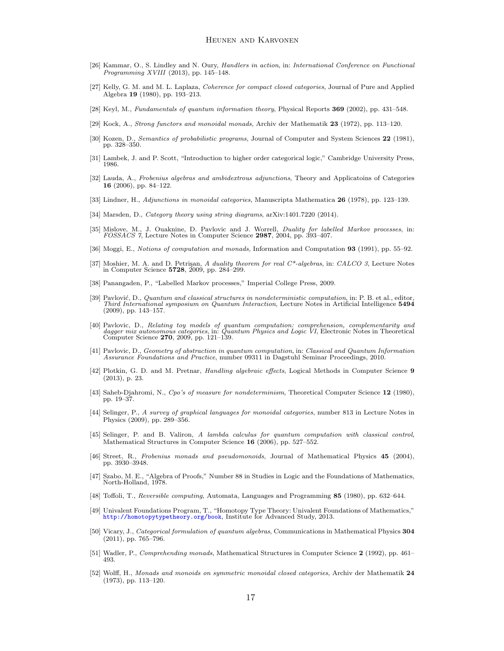- <span id="page-16-26"></span>[26] Kammar, O., S. Lindley and N. Oury, Handlers in action, in: International Conference on Functional Programming XVIII (2013), pp. 145–148.
- <span id="page-16-16"></span>[27] Kelly, G. M. and M. L. Laplaza, Coherence for compact closed categories, Journal of Pure and Applied Algebra 19 (1980), pp. 193–213.
- <span id="page-16-18"></span>[28] Keyl, M., Fundamentals of quantum information theory, Physical Reports 369 (2002), pp. 431–548.
- <span id="page-16-25"></span>[29] Kock, A., Strong functors and monoidal monads, Archiv der Mathematik 23 (1972), pp. 113–120.
- <span id="page-16-21"></span>[30] Kozen, D., Semantics of probabilistic programs, Journal of Computer and System Sciences 22 (1981), pp. 328–350.
- <span id="page-16-1"></span>[31] Lambek, J. and P. Scott, "Introduction to higher order categorical logic," Cambridge University Press, 1986.
- <span id="page-16-10"></span>[32] Lauda, A., Frobenius algebras and ambidextrous adjunctions, Theory and Applicatoins of Categories 16 (2006), pp. 84–122.
- <span id="page-16-15"></span>[33] Lindner, H., Adjunctions in monoidal categories, Manuscripta Mathematica 26 (1978), pp. 123–139.
- <span id="page-16-6"></span>[34] Marsden, D., Category theory using string diagrams, arXiv:1401.7220 (2014).
- <span id="page-16-19"></span>[35] Mislove, M., J. Ouaknine, D. Pavlovic and J. Worrell, Duality for labelled Markov processes, in:  $FOSSACS$   $\acute{\gamma}$ , Lecture Notes in Computer Science 2987, 2004, pp. 393-407.
- <span id="page-16-2"></span>[36] Moggi, E., Notions of computation and monads, Information and Computation 93 (1991), pp. 55–92.
- <span id="page-16-22"></span>[37] Moshier, M. A. and D. Petrişan, A duality theorem for real C\*-algebras, in: CALCO 3, Lecture Notes in Computer Science 5728, 2009, pp. 284–299.
- <span id="page-16-13"></span>[38] Panangaden, P., "Labelled Markov processes," Imperial College Press, 2009.
- <span id="page-16-23"></span>[39] Pavlović, D., Quantum and classical structures in nondeterministic computation, in: P. B. et al., editor, Third International symposium on Quantum Interaction, Lecture Notes in Artificial Intelligence 5494 (2009), pp. 143–157.
- <span id="page-16-14"></span>[40] Pavlovic, D., Relating toy models of quantum computation: comprehension, complementarity and dagger mix autonomous categories, in: Quantum Physics and Logic VI, Electronic Notes in Theoretical Computer Science 270, 2009, pp. 121–139.
- <span id="page-16-7"></span>[41] Pavlovic, D., Geometry of abstraction in quantum computation, in: Classical and Quantum Information Assurance Foundations and Practice, number 09311 in Dagstuhl Seminar Proceedings, 2010.
- <span id="page-16-8"></span>[42] Plotkin, G. D. and M. Pretnar, *Handling algebraic effects*, Logical Methods in Computer Science 9 (2013), p. 23.
- <span id="page-16-20"></span>[43] Saheb-Djahromi, N., Cpo's of measure for nondeterminism, Theoretical Computer Science 12 (1980), pp. 19–37.
- <span id="page-16-5"></span>[44] Selinger, P., A survey of graphical languages for monoidal categories, number 813 in Lecture Notes in Physics (2009), pp. 289–356.
- <span id="page-16-11"></span>[45] Selinger, P. and B. Valiron, A lambda calculus for quantum computation with classical control, Mathematical Structures in Computer Science 16 (2006), pp. 527–552.
- <span id="page-16-9"></span>[46] Street, R., Frobenius monads and pseudomonoids, Journal of Mathematical Physics 45 (2004), pp. 3930–3948.
- <span id="page-16-4"></span>[47] Szabo, M. E., "Algebra of Proofs," Number 88 in Studies in Logic and the Foundations of Mathematics, North-Holland, 1978.
- <span id="page-16-3"></span>[48] Toffoli, T., Reversible computing, Automata, Languages and Programming 85 (1980), pp. 632–644.
- <span id="page-16-12"></span>[49] Univalent Foundations Program, T., "Homotopy Type Theory: Univalent Foundations of Mathematics," <http://homotopytypetheory.org/book>, Institute for Advanced Study, 2013.
- <span id="page-16-17"></span>[50] Vicary, J., Categorical formulation of quantum algebras, Communications in Mathematical Physics 304  $(2011)$ , pp. 765–796.
- <span id="page-16-0"></span>[51] Wadler, P., Comprehending monads, Mathematical Structures in Computer Science 2 (1992), pp. 461– 493.
- <span id="page-16-24"></span>[52] Wolff, H., Monads and monoids on symmetric monoidal closed categories, Archiv der Mathematik 24 (1973), pp. 113–120.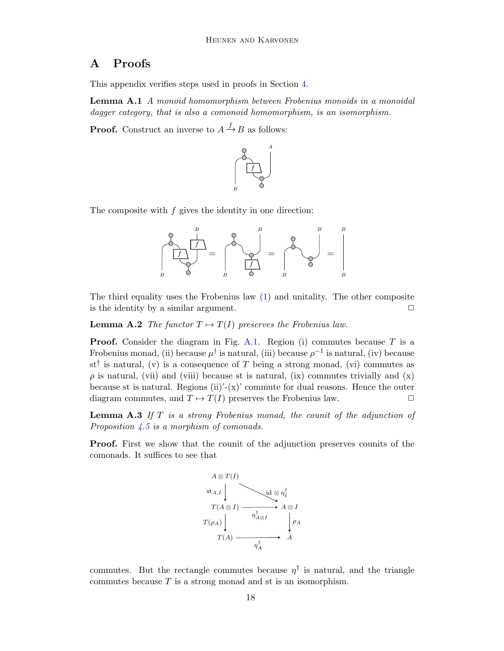## A Proofs

This appendix verifies steps used in proofs in Section [4.](#page-7-0)

<span id="page-17-2"></span>Lemma A.1 A monoid homomorphism between Frobenius monoids in a monoidal dagger category, that is also a comonoid homomorphism, is an isomorphism.

**Proof.** Construct an inverse to  $A \xrightarrow{f} B$  as follows:



The composite with  $f$  gives the identity in one direction:



The third equality uses the Frobenius law [\(1\)](#page-1-1) and unitality. The other composite is the identity by a similar argument.  $\Box$ 

<span id="page-17-0"></span>**Lemma A.2** The functor  $T \mapsto T(I)$  preserves the Frobenius law.

**Proof.** Consider the diagram in Fig. [A.1.](#page-19-0) Region (i) commutes because  $T$  is a Frobenius monad, (ii) because  $\mu^{\dagger}$  is natural, (iii) because  $\rho^{-1}$  is natural, (iv) because st<sup>†</sup> is natural, (v) is a consequence of T being a strong monad, (vi) commutes as  $\rho$  is natural, (vii) and (viii) because st is natural, (ix) commutes trivially and (x) because st is natural. Regions  $(ii)'-(x)'$  commute for dual reasons. Hence the outer diagram commutes, and  $T \mapsto T(I)$  preserves the Frobenius law.  $\Box$ 

<span id="page-17-1"></span>**Lemma A.3** If  $T$  is a strong Frobenius monad, the counit of the adjunction of Proposition  $\angle 4.5$  $\angle 4.5$  is a morphism of comonads.

Proof. First we show that the counit of the adjunction preserves counits of the comonads. It suffices to see that



commutes. But the rectangle commutes because  $\eta^{\dagger}$  is natural, and the triangle commutes because  $T$  is a strong monad and st is an isomorphism.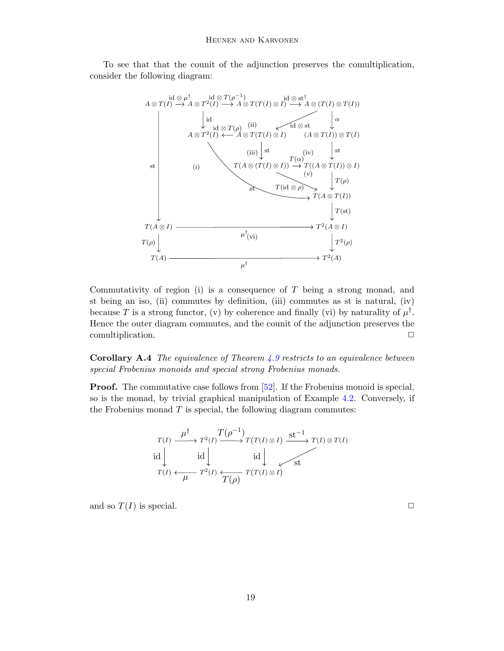To see that that the counit of the adjunction preserves the comultiplication, consider the following diagram:



Commutativity of region (i) is a consequence of  $T$  being a strong monad, and st being an iso, (ii) commutes by definition, (iii) commutes as st is natural, (iv) because T is a strong functor, (v) by coherence and finally (vi) by naturality of  $\mu^{\dagger}$ . Hence the outer diagram commutes, and the counit of the adjunction preserves the comultiplication.  $\Box$ 

<span id="page-18-0"></span>**Corollary A.4** The equivalence of Theorem  $4.9$  restricts to an equivalence between special Frobenius monoids and special strong Frobenius monads.

**Proof.** The commutative case follows from [\[52\]](#page-16-24). If the Frobenius monoid is special, so is the monad, by trivial graphical manipulation of Example [4.2.](#page-7-1) Conversely, if the Frobenius monad  $T$  is special, the following diagram commutes:

$$
T(I) \xrightarrow{\mu^{^{\dagger}}} T^{2}(I) \xrightarrow{T(\rho^{-1})} T(T(I) \otimes I) \xrightarrow{\text{st}^{-1}} T(I) \otimes T(I)
$$
  
id 
$$
\downarrow \qquad \qquad \text{id } \downarrow \qquad \qquad \downarrow \qquad \qquad \downarrow
$$
  

$$
T(I) \xleftarrow{\mu} T^{2}(I) \xleftarrow{\tau} T(\rho) T(T(I) \otimes I)
$$

and so  $T(I)$  is special.